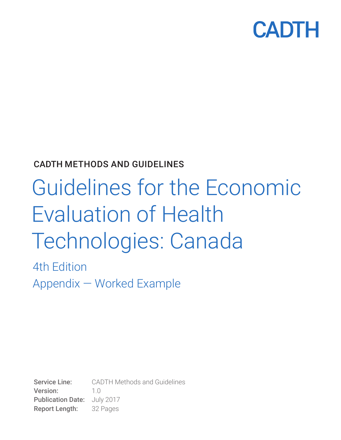

### CADTH METHODS AND GUIDELINES

# Guidelines for the Economic Evaluation of Health Technologies: Canada

4th Edition Appendix — Worked Example

Service Line: CADTH Methods and Guidelines Version: 1.0 Publication Date: July 2017 Report Length: 32 Pages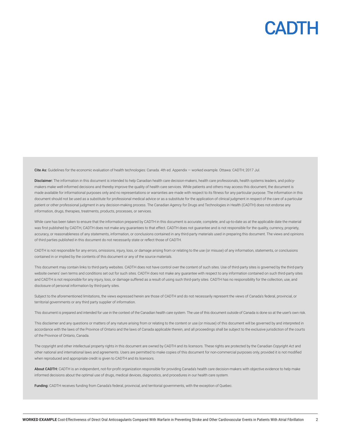

Cite As: Guidelines for the economic evaluation of health technologies: Canada. 4th ed. Appendix — worked example. Ottawa: CADTH; 2017 Jul.

Disclaimer: The information in this document is intended to help Canadian health care decision-makers, health care professionals, health systems leaders, and policymakers make well-informed decisions and thereby improve the quality of health care services. While patients and others may access this document, the document is made available for informational purposes only and no representations or warranties are made with respect to its fitness for any particular purpose. The information in this document should not be used as a substitute for professional medical advice or as a substitute for the application of clinical judgment in respect of the care of a particular patient or other professional judgment in any decision-making process. The Canadian Agency for Drugs and Technologies in Health (CADTH) does not endorse any information, drugs, therapies, treatments, products, processes, or services.

While care has been taken to ensure that the information prepared by CADTH in this document is accurate, complete, and up-to-date as at the applicable date the material was first published by CADTH, CADTH does not make any quarantees to that effect. CADTH does not quarantee and is not responsible for the quality, currency, propriety, accuracy, or reasonableness of any statements, information, or conclusions contained in any third-party materials used in preparing this document. The views and opinions of third parties published in this document do not necessarily state or reflect those of CADTH.

CADTH is not responsible for any errors, omissions, injury, loss, or damage arising from or relating to the use (or misuse) of any information, statements, or conclusions contained in or implied by the contents of this document or any of the source materials.

This document may contain links to third-party websites. CADTH does not have control over the content of such sites. Use of third-party sites is governed by the third-party website owners' own terms and conditions set out for such sites. CADTH does not make any guarantee with respect to any information contained on such third-party sites and CADTH is not responsible for any injury, loss, or damage suffered as a result of using such third-party sites. CADTH has no responsibility for the collection, use, and disclosure of personal information by third-party sites.

Subject to the aforementioned limitations, the views expressed herein are those of CADTH and do not necessarily represent the views of Canada's federal, provincial, or territorial governments or any third party supplier of information.

This document is prepared and intended for use in the context of the Canadian health care system. The use of this document outside of Canada is done so at the user's own risk.

This disclaimer and any questions or matters of any nature arising from or relating to the content or use (or misuse) of this document will be governed by and interpreted in accordance with the laws of the Province of Ontario and the laws of Canada applicable therein, and all proceedings shall be subject to the exclusive jurisdiction of the courts of the Province of Ontario, Canada.

The copyright and other intellectual property rights in this document are owned by CADTH and its licensors. These rights are protected by the Canadian *Copyright Act* and other national and international laws and agreements. Users are permitted to make copies of this document for non-commercial purposes only, provided it is not modified when reproduced and appropriate credit is given to CADTH and its licensors.

About CADTH: CADTH is an independent, not-for-profit organization responsible for providing Canada's health care decision-makers with objective evidence to help make informed decisions about the optimal use of drugs, medical devices, diagnostics, and procedures in our health care system.

Funding: CADTH receives funding from Canada's federal, provincial, and territorial governments, with the exception of Quebec.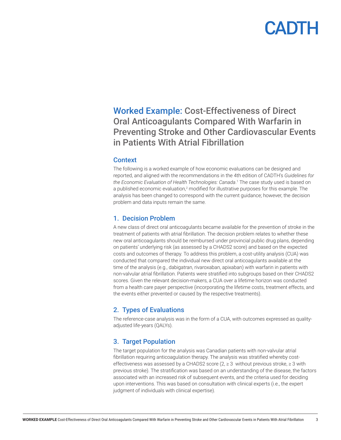Worked Example: Cost-Effectiveness of Direct Oral Anticoagulants Compared With Warfarin in Preventing Stroke and Other Cardiovascular Events in Patients With Atrial Fibrillation

#### **Context**

The following is a worked example of how economic evaluations can be designed and reported, and aligned with the recommendations in the 4th edition of CADTH's *Guidelines for the Economic Evaluation of Health Technologies: Canada*. 1 The case study used is based on a published economic evaluation,<sup>2</sup> modified for illustrative purposes for this example. The analysis has been changed to correspond with the current guidance; however, the decision problem and data inputs remain the same.

#### 1. Decision Problem

A new class of direct oral anticoagulants became available for the prevention of stroke in the treatment of patients with atrial fibrillation. The decision problem relates to whether these new oral anticoagulants should be reimbursed under provincial public drug plans, depending on patients' underlying risk (as assessed by a CHADS2 score) and based on the expected costs and outcomes of therapy. To address this problem, a cost-utility analysis (CUA) was conducted that compared the individual new direct oral anticoagulants available at the time of the analysis (e.g., dabigatran, rivaroxaban, apixaban) with warfarin in patients with non-valvular atrial fibrillation. Patients were stratified into subgroups based on their CHADS2 scores. Given the relevant decision-makers, a CUA over a lifetime horizon was conducted from a health care payer perspective (incorporating the lifetime costs, treatment effects, and the events either prevented or caused by the respective treatments).

### 2. Types of Evaluations

The reference-case analysis was in the form of a CUA, with outcomes expressed as qualityadjusted life-years (QALYs).

### 3. Target Population

The target population for the analysis was Canadian patients with non-valvular atrial fibrillation requiring anticoagulation therapy. The analysis was stratified whereby costeffectiveness was assessed by a CHADS2 score ( $2, \geq 3$  without previous stroke,  $\geq 3$  with previous stroke). The stratification was based on an understanding of the disease, the factors associated with an increased risk of subsequent events, and the criteria used for deciding upon interventions. This was based on consultation with clinical experts (i.e., the expert judgment of individuals with clinical expertise).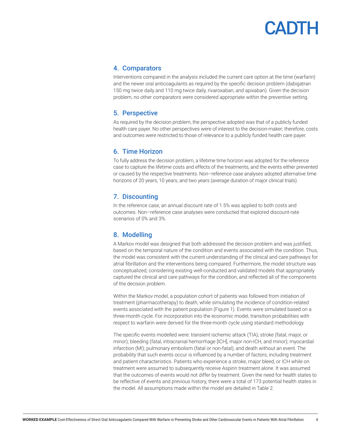#### 4. Comparators

Interventions compared in the analysis included the current care option at the time (warfarin) and the newer oral anticoagulants as required by the specific decision problem (dabigatran 150 mg twice daily and 110 mg twice daily, rivaroxaban, and apixaban). Given the decision problem, no other comparators were considered appropriate within the preventive setting.

### 5. Perspective

As required by the decision problem, the perspective adopted was that of a publicly funded health care payer. No other perspectives were of interest to the decision-maker; therefore, costs and outcomes were restricted to those of relevance to a publicly funded health care payer.

### 6. Time Horizon

To fully address the decision problem, a lifetime time horizon was adopted for the reference case to capture the lifetime costs and effects of the treatments, and the events either prevented or caused by the respective treatments. Non–reference case analyses adopted alternative time horizons of 20 years, 10 years, and two years (average duration of major clinical trials).

### 7. Discounting

In the reference case, an annual discount rate of 1.5% was applied to both costs and outcomes. Non–reference case analyses were conducted that explored discount-rate scenarios of 0% and 3%.

### 8. Modelling

A Markov model was designed that both addressed the decision problem and was justified, based on the temporal nature of the condition and events associated with the condition. Thus, the model was consistent with the current understanding of the clinical and care pathways for atrial fibrillation and the interventions being compared. Furthermore, the model structure was conceptualized, considering existing well-conducted and validated models that appropriately captured the clinical and care pathways for the condition, and reflected all of the components of the decision problem.

Within the Markov model, a population cohort of patients was followed from initiation of treatment (pharmacotherapy) to death, while simulating the incidence of condition-related events associated with the patient population (Figure 1). Events were simulated based on a three-month cycle. For incorporation into the economic model, transition probabilities with respect to warfarin were derived for the three-month cycle using standard methodology.

The specific events modelled were: transient ischemic attack (TIA); stroke (fatal, major, or minor); bleeding (fatal, intracranial hemorrhage [ICH], major non-ICH, and minor); myocardial infarction (MI); pulmonary embolism (fatal or non-fatal); and death without an event. The probability that such events occur is influenced by a number of factors, including treatment and patient characteristics. Patients who experience a stroke, major bleed, or ICH while on treatment were assumed to subsequently receive Aspirin treatment alone. It was assumed that the outcomes of events would not differ by treatment. Given the need for health states to be reflective of events and previous history, there were a total of 173 potential health states in the model. All assumptions made within the model are detailed in Table 2.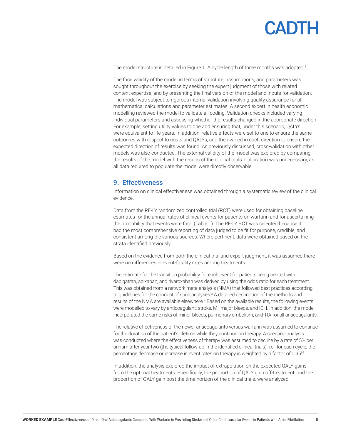The model structure is detailed in Figure 1. A cycle length of three months was adopted.<sup>2</sup>

The face validity of the model in terms of structure, assumptions, and parameters was sought throughout the exercise by seeking the expert judgment of those with related content expertise, and by presenting the final version of the model and inputs for validation. The model was subject to rigorous internal validation involving quality assurance for all mathematical calculations and parameter estimates. A second expert in health economic modelling reviewed the model to validate all coding. Validation checks included varying individual parameters and assessing whether the results changed in the appropriate direction. For example, setting utility values to one and ensuring that, under this scenario, QALYs were equivalent to life-years. In addition, relative effects were set to one to ensure the same outcomes with respect to costs and QALYs, and then varied in each direction to ensure the expected direction of results was found. As previously discussed, cross-validation with other models was also conducted. The external validity of the model was explored by comparing the results of the model with the results of the clinical trials. Calibration was unnecessary, as all data required to populate the model were directly observable.

#### 9. Effectiveness

Information on clinical effectiveness was obtained through a systematic review of the clinical evidence.

Data from the RE-LY randomized controlled trial (RCT) were used for obtaining baseline estimates for the annual rates of clinical events for patients on warfarin and for ascertaining the probability that events were fatal (Table 1). The RE-LY RCT was selected because it had the most comprehensive reporting of data judged to be fit for purpose, credible, and consistent among the various sources. Where pertinent, data were obtained based on the strata identified previously.

Based on the evidence from both the clinical trial and expert judgment, it was assumed there were no differences in event-fatality rates among treatments.

The estimate for the transition probability for each event for patients being treated with dabigatran, apixaban, and rivaroxaban was derived by using the odds ratio for each treatment. This was obtained from a network meta-analysis (NMA) that followed best practices according to guidelines for the conduct of such analyses.<sup>3</sup> A detailed description of the methods and results of the NMA are available elsewhere.<sup>4</sup> Based on the available results, the following events were modelled to vary by anticoagulant: stroke, MI, major bleeds, and ICH. In addition, the model incorporated the same risks of minor bleeds, pulmonary embolism, and TIA for all anticoagulants.

The relative effectiveness of the newer anticoagulants versus warfarin was assumed to continue for the duration of the patient's lifetime while they continue on therapy. A scenario analysis was conducted where the effectiveness of therapy was assumed to decline by a rate of 5% per annum after year two (the typical follow-up in the identified clinical trials), i.e., for each cycle, the percentage decrease or increase in event rates on therapy is weighted by a factor of 0.95<sup>t-2</sup>.

In addition, the analysis explored the impact of extrapolation on the expected QALY gains from the optimal treatments. Specifically, the proportion of QALY gain off-treatment, and the proportion of QALY gain post the time horizon of the clinical trials, were analyzed.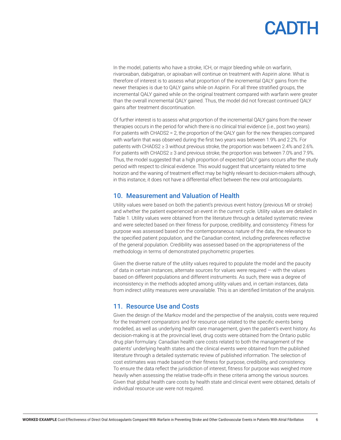In the model, patients who have a stroke, ICH, or major bleeding while on warfarin, rivaroxaban, dabigatran, or apixaban will continue on treatment with Aspirin alone. What is therefore of interest is to assess what proportion of the incremental QALY gains from the newer therapies is due to QALY gains while on Aspirin. For all three stratified groups, the incremental QALY gained while on the original treatment compared with warfarin were greater than the overall incremental QALY gained. Thus, the model did not forecast continued QALY gains after treatment discontinuation.

Of further interest is to assess what proportion of the incremental QALY gains from the newer therapies occurs in the period for which there is no clinical trial evidence (i.e., post two years). For patients with CHADS2 = 2, the proportion of the QALY gain for the new therapies compared with warfarin that was observed during the first two years was between 1.9% and 2.2%. For patients with CHADS2 ≥ 3 without previous stroke, the proportion was between 2.4% and 2.6%. For patients with CHADS2 ≥ 3 and previous stroke, the proportion was between 7.0% and 7.9%. Thus, the model suggested that a high proportion of expected QALY gains occurs after the study period with respect to clinical evidence. This would suggest that uncertainty related to time horizon and the waning of treatment effect may be highly relevant to decision-makers although, in this instance, it does not have a differential effect between the new oral anticoagulants.

#### 10. Measurement and Valuation of Health

Utility values were based on both the patient's previous event history (previous MI or stroke) and whether the patient experienced an event in the current cycle. Utility values are detailed in Table 1. Utility values were obtained from the literature through a detailed systematic review and were selected based on their fitness for purpose, credibility, and consistency. Fitness for purpose was assessed based on the contemporaneous nature of the data, the relevance to the specified patient population, and the Canadian context, including preferences reflective of the general population. Credibility was assessed based on the appropriateness of the methodology in terms of demonstrated psychometric properties.

Given the diverse nature of the utility values required to populate the model and the paucity of data in certain instances, alternate sources for values were required — with the values based on different populations and different instruments. As such, there was a degree of inconsistency in the methods adopted among utility values and, in certain instances, data from indirect utility measures were unavailable. This is an identified limitation of the analysis.

### 11. Resource Use and Costs

Given the design of the Markov model and the perspective of the analysis, costs were required for the treatment comparators and for resource use related to the specific events being modelled, as well as underlying health care management, given the patient's event history. As decision-making is at the provincial level, drug costs were obtained from the Ontario public drug plan formulary. Canadian health care costs related to both the management of the patients' underlying health states and the clinical events were obtained from the published literature through a detailed systematic review of published information. The selection of cost estimates was made based on their fitness for purpose, credibility, and consistency. To ensure the data reflect the jurisdiction of interest, fitness for purpose was weighed more heavily when assessing the relative trade-offs in these criteria among the various sources. Given that global health care costs by health state and clinical event were obtained, details of individual resource use were not required.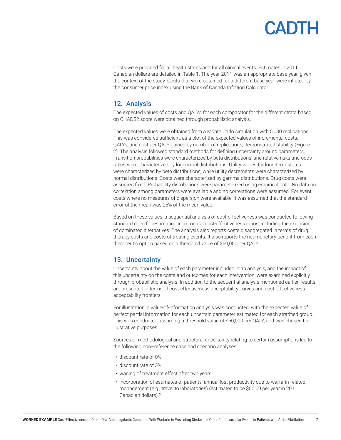Costs were provided for all health states and for all clinical events. Estimates in 2011 Canadian dollars are detailed in Table 1. The year 2011 was an appropriate base year, given the context of the study. Costs that were obtained for a different base year were inflated by the consumer price index using the Bank of Canada Inflation Calculator.

### 12. Analysis

The expected values of costs and QALYs for each comparator for the different strata based on CHADS2 score were obtained through probabilistic analysis.

The expected values were obtained from a Monte Carlo simulation with 5,000 replications. This was considered sufficient, as a plot of the expected values of incremental costs, QALYs, and cost per QALY gained by number of replications, demonstrated stability (Figure 2). The analysis followed standard methods for defining uncertainty around parameters. Transition probabilities were characterized by beta distributions, and relative risks and odds ratios were characterized by lognormal distributions. Utility values for long-term states were characterized by beta distributions, while utility decrements were characterized by normal distributions. Costs were characterized by gamma distributions. Drug costs were assumed fixed. Probability distributions were parameterized using empirical data. No data on correlation among parameters were available and no correlations were assumed. For event costs where no measures of dispersion were available, it was assumed that the standard error of the mean was 25% of the mean value.

Based on these values, a sequential analysis of cost-effectiveness was conducted following standard rules for estimating incremental cost-effectiveness ratios, including the exclusion of dominated alternatives. The analysis also reports costs disaggregated in terms of drug therapy costs and costs of treating events. It also reports the net monetary benefit from each therapeutic option based on a threshold value of \$50,000 per QALY.

### 13. Uncertainty

Uncertainty about the value of each parameter included in an analysis, and the impact of this uncertainty on the costs and outcomes for each intervention, were examined explicitly through probabilistic analysis. In addition to the sequential analysis mentioned earlier, results are presented in terms of cost-effectiveness acceptability curves and cost-effectiveness acceptability frontiers.

For illustration, a value-of-information analysis was conducted, with the expected value of perfect partial information for each uncertain parameter estimated for each stratified group. This was conducted assuming a threshold value of \$50,000 per QALY, and was chosen for illustrative purposes.

Sources of methodological and structural uncertainty relating to certain assumptions led to the following non–reference case and scenario analyses:

- discount rate of 0%
- discount rate of 3%
- waning of treatment effect after two years
- incorporation of estimates of patients' annual lost productivity due to warfarin-related management (e.g., travel to laboratories) (estimated to be \$66.69 per year in 2011 Canadian dollars).<sup>5</sup>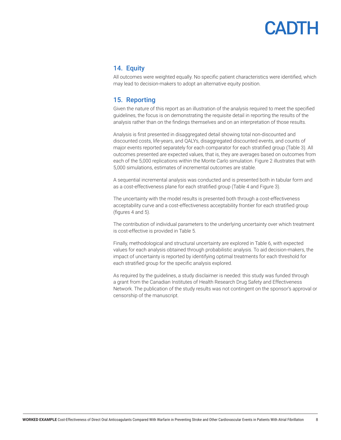### 14. Equity

All outcomes were weighted equally. No specific patient characteristics were identified, which may lead to decision-makers to adopt an alternative equity position.

### 15. Reporting

Given the nature of this report as an illustration of the analysis required to meet the specified guidelines, the focus is on demonstrating the requisite detail in reporting the results of the analysis rather than on the findings themselves and on an interpretation of those results.

Analysis is first presented in disaggregated detail showing total non-discounted and discounted costs, life-years, and QALYs, disaggregated discounted events, and counts of major events reported separately for each comparator for each stratified group (Table 3). All outcomes presented are expected values, that is, they are averages based on outcomes from each of the 5,000 replications within the Monte Carlo simulation. Figure 2 illustrates that with 5,000 simulations, estimates of incremental outcomes are stable.

A sequential incremental analysis was conducted and is presented both in tabular form and as a cost-effectiveness plane for each stratified group (Table 4 and Figure 3).

The uncertainty with the model results is presented both through a cost-effectiveness acceptability curve and a cost-effectiveness acceptability frontier for each stratified group (figures 4 and 5).

The contribution of individual parameters to the underlying uncertainty over which treatment is cost-effective is provided in Table 5.

Finally, methodological and structural uncertainty are explored in Table 6, with expected values for each analysis obtained through probabilistic analysis. To aid decision-makers, the impact of uncertainty is reported by identifying optimal treatments for each threshold for each stratified group for the specific analysis explored.

As required by the guidelines, a study disclaimer is needed: this study was funded through a grant from the Canadian Institutes of Health Research Drug Safety and Effectiveness Network. The publication of the study results was not contingent on the sponsor's approval or censorship of the manuscript.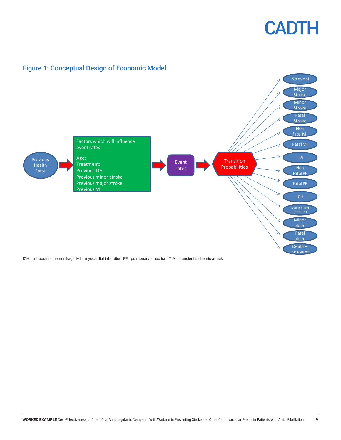



Figure 1: Conceptual Design of Economic Model

ICH = intracranial hemorrhage; MI = myocardial infarction; PE= pulmonary embolism; TIA = transient ischemic attack.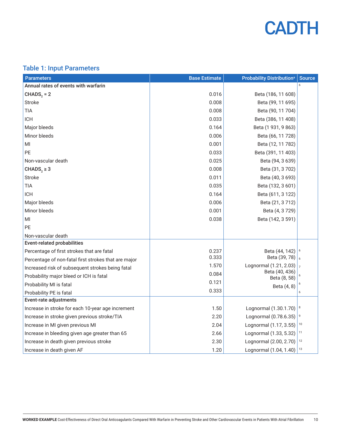

### Table 1: Input Parameters

| <b>Parameters</b>                                    | <b>Base Estimate</b> | <b>Probability Distribution<sup>a</sup></b> | <b>Source</b>  |
|------------------------------------------------------|----------------------|---------------------------------------------|----------------|
| Annual rates of events with warfarin                 |                      |                                             |                |
| $CHADS2 = 2$                                         | 0.016                | Beta (186, 11 608)                          |                |
| <b>Stroke</b>                                        | 0.008                | Beta (99, 11 695)                           |                |
| <b>TIA</b>                                           | 0.008                | Beta (90, 11 704)                           |                |
| <b>ICH</b>                                           | 0.033                | Beta (386, 11 408)                          |                |
| Major bleeds                                         | 0.164                | Beta (1 931, 9 863)                         |                |
| Minor bleeds                                         | 0.006                | Beta (66, 11 728)                           |                |
| MI                                                   | 0.001                | Beta (12, 11 782)                           |                |
| PE                                                   | 0.033                | Beta (391, 11 403)                          |                |
| Non-vascular death                                   | 0.025                | Beta (94, 3 639)                            |                |
| CHADS <sub>2</sub> $\geq$ 3                          | 0.008                | Beta (31, 3702)                             |                |
| <b>Stroke</b>                                        | 0.011                | Beta (40, 3 693)                            |                |
| <b>TIA</b>                                           | 0.035                | Beta (132, 3 601)                           |                |
| <b>ICH</b>                                           | 0.164                | Beta (611, 3 122)                           |                |
| Major bleeds                                         | 0.006                | Beta (21, 3 712)                            |                |
| Minor bleeds                                         | 0.001                | Beta (4, 3 729)                             |                |
| MI                                                   | 0.038                | Beta (142, 3 591)                           |                |
| PE                                                   |                      |                                             |                |
| Non-vascular death                                   |                      |                                             |                |
| <b>Event-related probabilities</b>                   |                      |                                             |                |
| Percentage of first strokes that are fatal           | 0.237                | Beta (44, 142)                              |                |
| Percentage of non-fatal first strokes that are major | 0.333                | Beta (39, 78)                               |                |
| Increased risk of subsequent strokes being fatal     | 1.570                | Lognormal (1.21, 2.03)<br>Beta (40, 436)    | $\overline{7}$ |
| Probability major bleed or ICH is fatal              | 0.084                | Beta (8, 58)                                |                |
| Probability MI is fatal                              | 0.121                | Beta (4, 8)                                 |                |
| Probability PE is fatal                              | 0.333                |                                             | 6              |
| Event-rate adjustments                               |                      |                                             |                |
| Increase in stroke for each 10-year age increment    | 1.50                 | Lognormal (1.30.1.70)                       | 8              |
| Increase in stroke given previous stroke/TIA         | 2.20                 | Lognormal (0.78.6.35)                       | 9              |
| Increase in MI given previous MI                     | 2.04                 | Lognormal (1.17, 3.55)                      | 10             |
| Increase in bleeding given age greater than 65       | 2.66                 | Lognormal (1.33, 5.32)                      | 11             |
| Increase in death given previous stroke              | 2.30                 | Lognormal (2.00, 2.70)                      | 12             |
| Increase in death given AF                           | 1.20                 | Lognormal (1.04, 1.40)                      | 13             |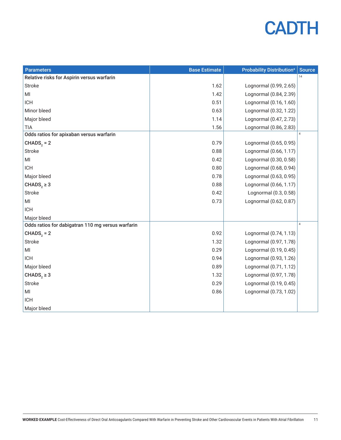| <b>Parameters</b>                                 | <b>Base Estimate</b> | <b>Probability Distribution<sup>a</sup></b> | <b>Source</b>  |
|---------------------------------------------------|----------------------|---------------------------------------------|----------------|
| Relative risks for Aspirin versus warfarin        |                      |                                             | 14             |
| <b>Stroke</b>                                     | 1.62                 | Lognormal (0.99, 2.65)                      |                |
| MI                                                | 1.42                 | Lognormal (0.84, 2.39)                      |                |
| <b>ICH</b>                                        | 0.51                 | Lognormal (0.16, 1.60)                      |                |
| Minor bleed                                       | 0.63                 | Lognormal (0.32, 1.22)                      |                |
| Major bleed                                       | 1.14                 | Lognormal (0.47, 2.73)                      |                |
| <b>TIA</b>                                        | 1.56                 | Lognormal (0.86, 2.83)                      |                |
| Odds ratios for apixaban versus warfarin          |                      |                                             | $\overline{4}$ |
| $CHADS2 = 2$                                      | 0.79                 | Lognormal (0.65, 0.95)                      |                |
| Stroke                                            | 0.88                 | Lognormal (0.66, 1.17)                      |                |
| MI                                                | 0.42                 | Lognormal (0.30, 0.58)                      |                |
| <b>ICH</b>                                        | 0.80                 | Lognormal (0.68, 0.94)                      |                |
| Major bleed                                       | 0.78                 | Lognormal (0.63, 0.95)                      |                |
| CHADS <sub>2</sub> $\geq$ 3                       | 0.88                 | Lognormal (0.66, 1.17)                      |                |
| <b>Stroke</b>                                     | 0.42                 | Lognormal (0.3, 0.58)                       |                |
| MI                                                | 0.73                 | Lognormal (0.62, 0.87)                      |                |
| <b>ICH</b>                                        |                      |                                             |                |
| Major bleed                                       |                      |                                             |                |
| Odds ratios for dabigatran 110 mg versus warfarin |                      |                                             | $\overline{4}$ |
| $CHADS2 = 2$                                      | 0.92                 | Lognormal (0.74, 1.13)                      |                |
| Stroke                                            | 1.32                 | Lognormal (0.97, 1.78)                      |                |
| MI                                                | 0.29                 | Lognormal (0.19, 0.45)                      |                |
| <b>ICH</b>                                        | 0.94                 | Lognormal (0.93, 1.26)                      |                |
| Major bleed                                       | 0.89                 | Lognormal (0.71, 1.12)                      |                |
| CHADS <sub>2</sub> $\geq$ 3                       | 1.32                 | Lognormal (0.97, 1.78)                      |                |
| Stroke                                            | 0.29                 | Lognormal (0.19, 0.45)                      |                |
| MI                                                | 0.86                 | Lognormal (0.73, 1.02)                      |                |
| <b>ICH</b>                                        |                      |                                             |                |
| Major bleed                                       |                      |                                             |                |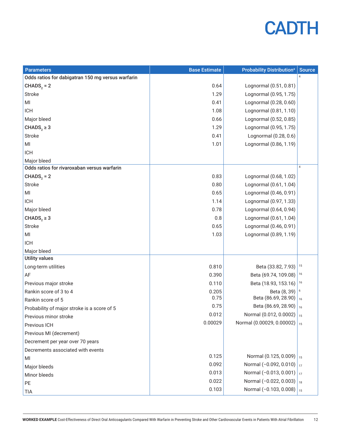| <b>Parameters</b>                                 | <b>Base Estimate</b> | <b>Probability Distribution<sup>a</sup></b> | <b>Source</b>  |
|---------------------------------------------------|----------------------|---------------------------------------------|----------------|
| Odds ratios for dabigatran 150 mg versus warfarin |                      |                                             | $\overline{4}$ |
| $CHADS2 = 2$                                      | 0.64                 | Lognormal (0.51, 0.81)                      |                |
| <b>Stroke</b>                                     | 1.29                 | Lognormal (0.95, 1.75)                      |                |
| MI                                                | 0.41                 | Lognormal (0.28, 0.60)                      |                |
| <b>ICH</b>                                        | 1.08                 | Lognormal (0.81, 1.10)                      |                |
| Major bleed                                       | 0.66                 | Lognormal (0.52, 0.85)                      |                |
| CHADS <sub>2</sub> $\geq$ 3                       | 1.29                 | Lognormal (0.95, 1.75)                      |                |
| <b>Stroke</b>                                     | 0.41                 | Lognormal (0.28, 0.6)                       |                |
| $\mathsf{MI}$                                     | 1.01                 | Lognormal (0.86, 1.19)                      |                |
| <b>ICH</b>                                        |                      |                                             |                |
| Major bleed                                       |                      |                                             |                |
| Odds ratios for rivaroxaban versus warfarin       |                      |                                             | $\overline{4}$ |
| $CHADS2 = 2$                                      | 0.83                 | Lognormal (0.68, 1.02)                      |                |
| <b>Stroke</b>                                     | 0.80                 | Lognormal (0.61, 1.04)                      |                |
| MI                                                | 0.65                 | Lognormal (0.46, 0.91)                      |                |
| <b>ICH</b>                                        | 1.14                 | Lognormal (0.97, 1.33)                      |                |
| Major bleed                                       | 0.78                 | Lognormal (0.64, 0.94)                      |                |
| CHADS <sub>2</sub> $\geq$ 3                       | 0.8                  | Lognormal (0.61, 1.04)                      |                |
| <b>Stroke</b>                                     | 0.65                 | Lognormal (0.46, 0.91)                      |                |
| MI                                                | 1.03                 | Lognormal (0.89, 1.19)                      |                |
| <b>ICH</b>                                        |                      |                                             |                |
| Major bleed                                       |                      |                                             |                |
| <b>Utility values</b>                             |                      |                                             |                |
| Long-term utilities                               | 0.810                | Beta (33.82, 7.93)                          | 15             |
| AF                                                | 0.390                | Beta (69.74, 109.08)                        | 16             |
| Previous major stroke                             | 0.110                | Beta (18.93, 153.16)                        | 16             |
| Rankin score of 3 to 4                            | 0.205                | Beta (8, 39)                                | 6              |
| Rankin score of 5                                 | 0.75                 | Beta (86.69, 28.90)                         | 16             |
| Probability of major stroke is a score of 5       | 0.75                 | Beta (86.69, 28.90)                         | 16             |
| Previous minor stroke                             | 0.012                | Normal (0.012, 0.0002)   15                 |                |
| Previous ICH                                      | 0.00029              | Normal (0.00029, 0.00002) $\frac{1}{15}$    |                |
| Previous MI (decrement)                           |                      |                                             |                |
| Decrement per year over 70 years                  |                      |                                             |                |
| Decrements associated with events                 |                      |                                             |                |
| MI                                                | 0.125                | Normal (0.125, 0.009)   $15$                |                |
| Major bleeds                                      | 0.092                | Normal (-0.092, 0.010) $\vert_{17}$         |                |
| Minor bleeds                                      | 0.013                | Normal (-0.013, 0.001) $\vert_{17}$         |                |
| PE                                                | 0.022                | Normal $(-0.022, 0.003)$   18               |                |
| TIA                                               | 0.103                | Normal (-0.103, 0.008) $\vert$ 15           |                |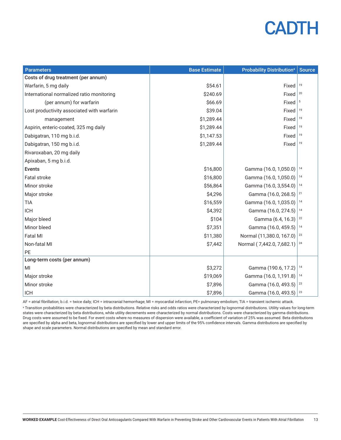| <b>Parameters</b>                          | <b>Base Estimate</b> | <b>Probability Distribution<sup>a</sup></b> | <b>Source</b> |
|--------------------------------------------|----------------------|---------------------------------------------|---------------|
| Costs of drug treatment (per annum)        |                      |                                             |               |
| Warfarin, 5 mg daily                       | \$54.61              | Fixed                                       | 19            |
| International normalized ratio monitoring  | \$240.69             | Fixed                                       | 20            |
| (per annum) for warfarin                   | \$66.69              | Fixed                                       | 5             |
| Lost productivity associated with warfarin | \$39.04              | Fixed                                       | 19            |
| management                                 | \$1,289.44           | Fixed                                       | 19            |
| Aspirin, enteric-coated, 325 mg daily      | \$1,289.44           | Fixed                                       | 19            |
| Dabigatran, 110 mg b.i.d.                  | \$1,147.53           | Fixed                                       | 19            |
| Dabigatran, 150 mg b.i.d.                  | \$1,289.44           | Fixed                                       | 19            |
| Rivaroxaban, 20 mg daily                   |                      |                                             |               |
| Apixaban, 5 mg b.i.d.                      |                      |                                             |               |
| <b>Events</b>                              | \$16,800             | Gamma (16.0, 1,050.0)                       | 14            |
| Fatal stroke                               | \$16,800             | Gamma (16.0, 1,050.0)                       | 14            |
| Minor stroke                               | \$56,864             | Gamma (16.0, 3,554.0)                       | 14            |
| Major stroke                               | \$4,296              | Gamma (16.0, 268.5)                         | 21            |
| <b>TIA</b>                                 | \$16,559             | Gamma (16.0, 1,035.0)                       | 14            |
| <b>ICH</b>                                 | \$4,392              | Gamma (16.0, 274.5)                         | 14            |
| Major bleed                                | \$104                | Gamma (6.4, 16.3)                           | 22            |
| Minor bleed                                | \$7,351              | Gamma (16.0, 459.5)                         | 14            |
| <b>Fatal MI</b>                            | \$11,380             | Normal (11,380.0, 167.0)                    | 23            |
| Non-fatal MI                               | \$7,442              | Normal (7,442.0, 7,682.1)                   | 24            |
| PE                                         |                      |                                             |               |
| Long-term costs (per annum)                |                      |                                             |               |
| MI                                         | \$3,272              | Gamma (190.6, 17.2)                         | 14            |
| Major stroke                               | \$19,069             | Gamma (16.0, 1,191.8)                       | 14            |
| Minor stroke                               | \$7,896              | Gamma (16.0, 493.5)                         | 23            |
| <b>ICH</b>                                 | \$7,896              | Gamma (16.0, 493.5)                         | 23            |

AF = atrial fibrillation; b.i.d. = twice daily; ICH = intracranial hemorrhage; MI = myocardial infarction; PE= pulmonary embolism; TIA = transient ischemic attack.

a Transition probabilities were characterized by beta distributions. Relative risks and odds ratios were characterized by lognormal distributions. Utility values for long-term states were characterized by beta distributions, while utility decrements were characterized by normal distributions. Costs were characterized by gamma distributions. Drug costs were assumed to be fixed. For event costs where no measures of dispersion were available, a coefficient of variation of 25% was assumed. Beta distributions are specified by alpha and beta, lognormal distributions are specified by lower and upper limits of the 95% confidence intervals. Gamma distributions are specified by shape and scale parameters. Normal distributions are specified by mean and standard error.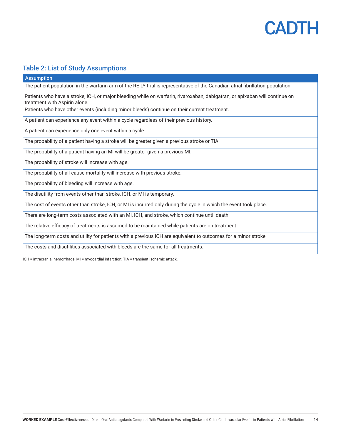

۱

### Table 2: List of Study Assumptions

| <b>Assumption</b>                                                                                                                                            |
|--------------------------------------------------------------------------------------------------------------------------------------------------------------|
| The patient population in the warfarin arm of the RE-LY trial is representative of the Canadian atrial fibrillation population.                              |
| Patients who have a stroke, ICH, or major bleeding while on warfarin, rivaroxaban, dabigatran, or apixaban will continue on<br>treatment with Aspirin alone. |
| Patients who have other events (including minor bleeds) continue on their current treatment.                                                                 |
| A patient can experience any event within a cycle regardless of their previous history.                                                                      |
| A patient can experience only one event within a cycle.                                                                                                      |
| The probability of a patient having a stroke will be greater given a previous stroke or TIA.                                                                 |
| The probability of a patient having an MI will be greater given a previous MI.                                                                               |
| The probability of stroke will increase with age.                                                                                                            |
| The probability of all-cause mortality will increase with previous stroke.                                                                                   |
| The probability of bleeding will increase with age.                                                                                                          |
| The disutility from events other than stroke, ICH, or MI is temporary.                                                                                       |
| The cost of events other than stroke, ICH, or MI is incurred only during the cycle in which the event took place.                                            |
| There are long-term costs associated with an MI, ICH, and stroke, which continue until death.                                                                |
| The relative efficacy of treatments is assumed to be maintained while patients are on treatment.                                                             |
| The long-term costs and utility for patients with a previous ICH are equivalent to outcomes for a minor stroke.                                              |
| The costs and disutilities associated with bleeds are the same for all treatments.                                                                           |

ICH = intracranial hemorrhage; MI = myocardial infarction; TIA = transient ischemic attack.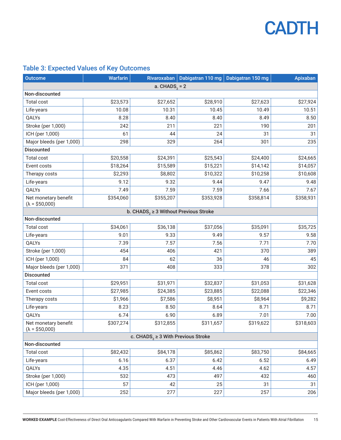### Table 3: Expected Values of Key Outcomes

| <b>Outcome</b>                                | <b>Warfarin</b> | Rivaroxaban                                            | Dabigatran 110 mg Dabigatran 150 mg |           | <b>Apixaban</b> |  |
|-----------------------------------------------|-----------------|--------------------------------------------------------|-------------------------------------|-----------|-----------------|--|
|                                               |                 | a. $CHADS2 = 2$                                        |                                     |           |                 |  |
| Non-discounted                                |                 |                                                        |                                     |           |                 |  |
| <b>Total cost</b>                             | \$23,573        | \$27,652                                               | \$28,910                            | \$27,623  | \$27,924        |  |
| Life-years                                    | 10.08           | 10.31                                                  | 10.45                               | 10.49     | 10.51           |  |
| QALYs                                         | 8.28            | 8.40                                                   | 8.40                                | 8.49      | 8.50            |  |
| Stroke (per 1,000)                            | 242             | 211                                                    | 221                                 | 190       | 201             |  |
| ICH (per 1,000)                               | 61              | 44                                                     | 24                                  | 31        | 31              |  |
| Major bleeds (per 1,000)                      | 298             | 329                                                    | 264                                 | 301       | 235             |  |
| <b>Discounted</b>                             |                 |                                                        |                                     |           |                 |  |
| Total cost                                    | \$20,558        | \$24,391                                               | \$25,543                            | \$24,400  | \$24,665        |  |
| Event costs                                   | \$18,264        | \$15,589                                               | \$15,221                            | \$14,142  | \$14,057        |  |
| Therapy costs                                 | \$2,293         | \$8,802                                                | \$10,322                            | \$10,258  | \$10,608        |  |
| Life-years                                    | 9.12            | 9.32                                                   | 9.44                                | 9.47      | 9.48            |  |
| QALYs                                         | 7.49            | 7.59                                                   | 7.59                                | 7.66      | 7.67            |  |
| Net monetary benefit<br>$(\lambda = $50,000)$ | \$354,060       | \$355,207                                              | \$353,928                           | \$358,814 | \$358,931       |  |
|                                               |                 | b. CHADS <sub>2</sub> $\geq$ 3 Without Previous Stroke |                                     |           |                 |  |
| Non-discounted                                |                 |                                                        |                                     |           |                 |  |
| <b>Total cost</b>                             | \$34,061        | \$36,138                                               | \$37,056                            | \$35,091  | \$35,725        |  |
| Life-years                                    | 9.01            | 9.33                                                   | 9.49                                | 9.57      | 9.58            |  |
| QALYs                                         | 7.39            | 7.57                                                   | 7.56                                | 7.71      | 7.70            |  |
| Stroke (per 1,000)                            | 454             | 406                                                    | 421                                 | 370       | 389             |  |
| ICH (per 1,000)                               | 84              | 62                                                     | 36                                  | 46        | 45              |  |
| Major bleeds (per 1,000)                      | 371             | 408                                                    | 333                                 | 378       | 302             |  |
| <b>Discounted</b>                             |                 |                                                        |                                     |           |                 |  |
| Total cost                                    | \$29,951        | \$31,971                                               | \$32,837                            | \$31,053  | \$31,628        |  |
| Event costs                                   | \$27,985        | \$24,385                                               | \$23,885                            | \$22,088  | \$22,346        |  |
| Therapy costs                                 | \$1,966         | \$7,586                                                | \$8,951                             | \$8,964   | \$9,282         |  |
| Life-years                                    | 8.23            | 8.50                                                   | 8.64                                | 8.71      | 8.71            |  |
| QALYs                                         | 6.74            | 6.90                                                   | 6.89                                | 7.01      | 7.00            |  |
| Net monetary benefit<br>$(\lambda = $50,000)$ | \$307,274       | \$312,855                                              | \$311,657                           | \$319,622 | \$318,603       |  |
| c. CHADS, $\geq$ 3 With Previous Stroke       |                 |                                                        |                                     |           |                 |  |
| Non-discounted                                |                 |                                                        |                                     |           |                 |  |
| Total cost                                    | \$82,432        | \$84,178                                               | \$85,862                            | \$83,750  | \$84,665        |  |
| Life-years                                    | 6.16            | 6.37                                                   | 6.42                                | 6.52      | 6.49            |  |
| QALYs                                         | 4.35            | 4.51                                                   | 4.46                                | 4.62      | 4.57            |  |
| Stroke (per 1,000)                            | 532             | 473                                                    | 497                                 | 432       | 460             |  |
| ICH (per 1,000)                               | 57              | 42                                                     | 25                                  | 31        | 31              |  |
| Major bleeds (per 1,000)                      | 252             | 277                                                    | 227                                 | 257       | 206             |  |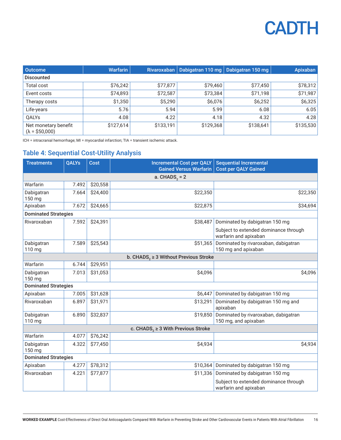| <b>Outcome</b>                                | <b>Warfarin</b> |           | Rivaroxaban   Dabigatran 110 mg   Dabigatran 150 mg |           | Apixaban  |
|-----------------------------------------------|-----------------|-----------|-----------------------------------------------------|-----------|-----------|
| <b>Discounted</b>                             |                 |           |                                                     |           |           |
| <b>Total cost</b>                             | \$76,242        | \$77,877  | \$79,460                                            | \$77,450  | \$78,312  |
| Event costs                                   | \$74,893        | \$72,587  | \$73,384                                            | \$71,198  | \$71,987  |
| Therapy costs                                 | \$1,350         | \$5,290   | \$6,076                                             | \$6,252   | \$6,325   |
| Life-years                                    | 5.76            | 5.94      | 5.99                                                | 6.08      | 6.05      |
| <b>OALYs</b>                                  | 4.08            | 4.22      | 4.18                                                | 4.32      | 4.28      |
| Net monetary benefit<br>$(\lambda = $50,000)$ | \$127,614       | \$133,191 | \$129,368                                           | \$138,641 | \$135,530 |

ICH = intracranial hemorrhage; MI = myocardial infarction; TIA = transient ischemic attack.

#### Table 4: Sequential Cost-Utility Analysis

| <b>Treatments</b>                                      | <b>QALYs</b> | <b>Cost</b> | <b>Incremental Cost per QALY</b><br><b>Gained Versus Warfarin</b> | <b>Sequential Incremental</b><br><b>Cost per QALY Gained</b>   |  |  |  |
|--------------------------------------------------------|--------------|-------------|-------------------------------------------------------------------|----------------------------------------------------------------|--|--|--|
| a. $CHADS2 = 2$                                        |              |             |                                                                   |                                                                |  |  |  |
| Warfarin                                               | 7.492        | \$20,558    |                                                                   |                                                                |  |  |  |
| Dabigatran<br>150 mg                                   | 7.664        | \$24,400    | \$22,350                                                          | \$22,350                                                       |  |  |  |
| Apixaban                                               | 7.672        | \$24,665    | \$22,875                                                          | \$34,694                                                       |  |  |  |
| <b>Dominated Strategies</b>                            |              |             |                                                                   |                                                                |  |  |  |
| Rivaroxaban                                            | 7.592        | \$24,391    | \$38,487                                                          | Dominated by dabigatran 150 mg                                 |  |  |  |
|                                                        |              |             |                                                                   | Subject to extended dominance through<br>warfarin and apixaban |  |  |  |
| Dabigatran<br>110 mg                                   | 7.589        | \$25,543    | \$51,365                                                          | Dominated by rivaroxaban, dabigatran<br>150 mg and apixaban    |  |  |  |
| b. CHADS <sub>2</sub> $\geq$ 3 Without Previous Stroke |              |             |                                                                   |                                                                |  |  |  |
| Warfarin                                               | 6.744        | \$29,951    |                                                                   |                                                                |  |  |  |
| Dabigatran<br>150 mg                                   | 7.013        | \$31,053    | \$4,096                                                           | \$4,096                                                        |  |  |  |
| <b>Dominated Strategies</b>                            |              |             |                                                                   |                                                                |  |  |  |
| Apixaban                                               | 7.005        | \$31,628    | \$6,447                                                           | Dominated by dabigatran 150 mg                                 |  |  |  |
| Rivaroxaban                                            | 6.897        | \$31,971    | \$13,291                                                          | Dominated by dabigatran 150 mg and<br>apixaban                 |  |  |  |
| Dabigatran<br>110 mg                                   | 6.890        | \$32,837    | \$19,850                                                          | Dominated by rivaroxaban, dabigatran<br>150 mg, and apixaban   |  |  |  |
|                                                        |              |             | c. CHADS <sub>2</sub> $\geq$ 3 With Previous Stroke               |                                                                |  |  |  |
| Warfarin                                               | 4.077        | \$76,242    |                                                                   |                                                                |  |  |  |
| Dabigatran<br>150 mg                                   | 4.322        | \$77,450    | \$4,934                                                           | \$4,934                                                        |  |  |  |
| <b>Dominated Strategies</b>                            |              |             |                                                                   |                                                                |  |  |  |
| Apixaban                                               | 4.277        | \$78,312    | \$10,364                                                          | Dominated by dabigatran 150 mg                                 |  |  |  |
| Rivaroxaban                                            | 4.221        | \$77,877    | \$11,336                                                          | Dominated by dabigatran 150 mg                                 |  |  |  |
|                                                        |              |             |                                                                   | Subject to extended dominance through<br>warfarin and apixaban |  |  |  |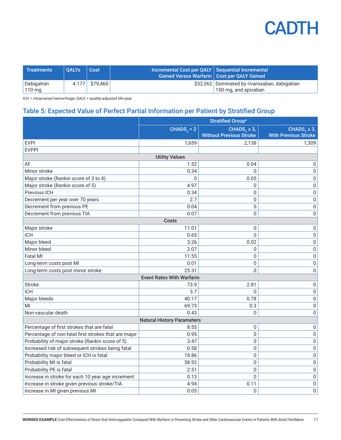| Treatments             | <b>OALYs</b> | Cost             | Incremental Cost per QALY   Sequential Incremental<br>Gained Versus Warfarin   Cost per QALY Gained |                                                                       |
|------------------------|--------------|------------------|-----------------------------------------------------------------------------------------------------|-----------------------------------------------------------------------|
| Dabigatran<br>  110 mg |              | $4.177$ \$79,460 |                                                                                                     | \$32,362 Dominated by rivaroxaban, dabigatran<br>150 mg, and apixaban |

ICH = intracranial hemorrhage; QALY = quality-adjusted life-year.

### Table 5: Expected Value of Perfect Partial Information per Patient by Stratified Group

|                                                      | <b>Stratified Group<sup>a</sup></b> |                                                                |                                                             |  |  |
|------------------------------------------------------|-------------------------------------|----------------------------------------------------------------|-------------------------------------------------------------|--|--|
|                                                      | $CHADS2 = 2$                        | CHADS <sub>2</sub> $\geq$ 3,<br><b>Without Previous Stroke</b> | CHADS <sub>2</sub> $\geq$ 3,<br><b>With Previous Stroke</b> |  |  |
| <b>EVPI</b>                                          | 1,659                               | 2.138                                                          | 1.309                                                       |  |  |
| <b>EVPPI</b>                                         |                                     |                                                                |                                                             |  |  |
|                                                      | <b>Utility Values</b>               |                                                                |                                                             |  |  |
| AF                                                   | 1.52                                | 0.04                                                           | 0                                                           |  |  |
| Minor stroke                                         | 0.34                                | $\mathbf{0}$                                                   | $\boldsymbol{0}$                                            |  |  |
| Major stroke (Rankin score of 3 to 4)                | 0                                   | 0.05                                                           | 0                                                           |  |  |
| Major stroke (Rankin score of 5)                     | 4.97                                | $\mathbf 0$                                                    | $\mathbf 0$                                                 |  |  |
| Previous ICH                                         | 0.34                                | 0                                                              | 0                                                           |  |  |
| Decrement per year over 70 years                     | 2.7                                 | $\mathbf 0$                                                    | 0                                                           |  |  |
| Decrement from previous PE                           | 0.04                                | $\boldsymbol{0}$                                               | 0                                                           |  |  |
| Decrement from previous TIA                          | 0.07                                | $\boldsymbol{0}$                                               | 0                                                           |  |  |
|                                                      | <b>Costs</b>                        |                                                                |                                                             |  |  |
| Major stroke                                         | 11.01                               | $\Omega$                                                       | 0                                                           |  |  |
| <b>ICH</b>                                           | 0.65                                | $\Omega$                                                       | 0                                                           |  |  |
| Major bleed                                          | 3.26                                | 0.02                                                           | $\boldsymbol{0}$                                            |  |  |
| Minor bleed                                          | 2.07                                | $\Omega$                                                       | $\boldsymbol{0}$                                            |  |  |
| <b>Fatal MI</b>                                      | 11.55                               | $\mathbf 0$                                                    | $\pmb{0}$                                                   |  |  |
| Long-term costs post MI                              | 0.01                                | $\Omega$                                                       | 0                                                           |  |  |
| Long-term costs post minor stroke                    | 25.31                               | $\Omega$                                                       | 0                                                           |  |  |
|                                                      | <b>Event Rates With Warfarin</b>    |                                                                |                                                             |  |  |
| <b>Stroke</b>                                        | 73.9                                | 2.81                                                           | $\pmb{0}$                                                   |  |  |
| <b>ICH</b>                                           | 3.7                                 | $\Omega$                                                       | 0                                                           |  |  |
| Major bleeds                                         | 40.17                               | 0.78                                                           | $\pmb{0}$                                                   |  |  |
| MI                                                   | 69.73                               | 0.3                                                            | 0                                                           |  |  |
| Non-vascular death                                   | 0.43                                | $\mathbf{0}$                                                   | 0                                                           |  |  |
|                                                      | <b>Natural History Parameters</b>   |                                                                |                                                             |  |  |
| Percentage of first strokes that are fatal           | 8.55                                | 0                                                              | 0                                                           |  |  |
| Percentage of non-fatal first strokes that are major | 0.95                                | $\mathbf 0$                                                    | 0                                                           |  |  |
| Probability of major stroke (Rankin score of 5)      | 3.47                                | $\mathbf 0$                                                    | 0                                                           |  |  |
| Increased risk of subsequent strokes being fatal     | 0.58                                | $\mathbf 0$                                                    | 0                                                           |  |  |
| Probability major bleed or ICH is fatal              | 18.86                               | 0                                                              | 0                                                           |  |  |
| Probability MI is fatal                              | 58.92                               | $\boldsymbol{0}$                                               | $\mathbf 0$                                                 |  |  |
| Probability PE is fatal                              | 2.51                                | $\boldsymbol{0}$                                               | 0                                                           |  |  |
| Increase in stroke for each 10 year age increment    | 0.13                                | $\mathbf{0}$                                                   | 0                                                           |  |  |
| Increase in stroke given previous stroke/TIA         | 4.94                                | 0.11                                                           | 0                                                           |  |  |
| Increase in MI given previous MI                     | 0.05                                | $\boldsymbol{0}$                                               | 0                                                           |  |  |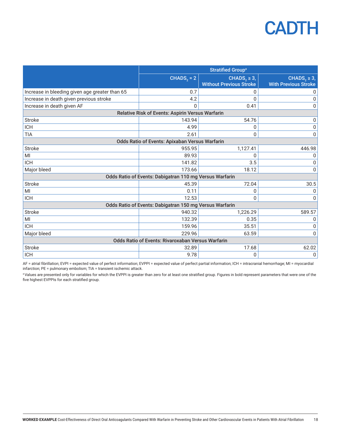|                                                   | <b>Stratified Group<sup>a</sup></b>                     |                                |                              |  |
|---------------------------------------------------|---------------------------------------------------------|--------------------------------|------------------------------|--|
|                                                   | $CHADS2 = 2$                                            | CHADS <sub>2</sub> $\geq$ 3,   | CHADS <sub>2</sub> $\geq$ 3, |  |
|                                                   |                                                         | <b>Without Previous Stroke</b> | <b>With Previous Stroke</b>  |  |
| Increase in bleeding given age greater than 65    | 0.7                                                     | U                              | 0                            |  |
| Increase in death given previous stroke           | 4.2                                                     | U                              | 0                            |  |
| Increase in death given AF                        | 0                                                       | 0.41                           | 0                            |  |
|                                                   | Relative Risk of Events: Aspirin Versus Warfarin        |                                |                              |  |
| <b>Stroke</b>                                     | 143.94                                                  | 54.76                          | 0                            |  |
| <b>ICH</b>                                        | 4.99                                                    | 0                              | 0                            |  |
| <b>TIA</b>                                        | 2.61                                                    | $\Omega$                       | 0                            |  |
|                                                   | Odds Ratio of Events: Apixaban Versus Warfarin          |                                |                              |  |
| <b>Stroke</b>                                     | 955.95                                                  | 1,127.41                       | 446.98                       |  |
| MI                                                | 89.93                                                   | U                              | 0                            |  |
| <b>ICH</b>                                        | 141.82                                                  | 3.5                            | 0                            |  |
| Major bleed                                       | 173.66                                                  | 18.12                          | 0                            |  |
|                                                   | Odds Ratio of Events: Dabigatran 110 mg Versus Warfarin |                                |                              |  |
| <b>Stroke</b>                                     | 45.39                                                   | 72.04                          | 30.5                         |  |
| MI                                                | 0.11                                                    | $\mathbf{0}$                   | 0                            |  |
| <b>ICH</b>                                        | 12.53                                                   | $\Omega$                       | 0                            |  |
|                                                   | Odds Ratio of Events: Dabigatran 150 mg Versus Warfarin |                                |                              |  |
| <b>Stroke</b>                                     | 940.32                                                  | 1,226.29                       | 589.57                       |  |
| MI                                                | 132.39                                                  | 0.35                           | 0                            |  |
| <b>ICH</b>                                        | 159.96                                                  | 35.51                          | 0                            |  |
| Major bleed                                       | 229.96                                                  | 63.59                          | 0                            |  |
| Odds Ratio of Events: Rivaroxaban Versus Warfarin |                                                         |                                |                              |  |
| <b>Stroke</b>                                     | 32.89                                                   | 17.68                          | 62.02                        |  |
| <b>ICH</b>                                        | 9.78                                                    | $\mathbf{0}$                   | 0                            |  |

AF = atrial fibrillation; EVPI = expected value of perfect information; EVPPI = expected value of perfect partial information; ICH = intracranial hemorrhage; MI = myocardial infarction; PE = pulmonary embolism; TIA = transient ischemic attack.

aValues are presented only for variables for which the EVPPI is greater than zero for at least one stratified group. Figures in bold represent parameters that were one of the five highest EVPPIs for each stratified group.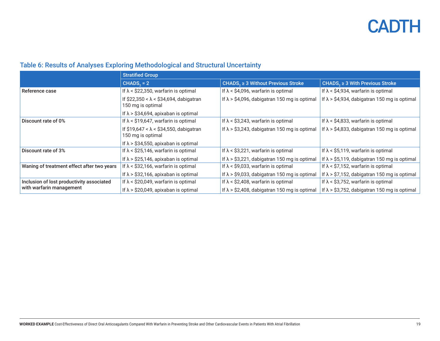### Table 6: Results of Analyses Exploring Methodological and Structural Uncertainty

|                                            | <b>Stratified Group</b>                                            |                                                      |                                                      |
|--------------------------------------------|--------------------------------------------------------------------|------------------------------------------------------|------------------------------------------------------|
|                                            | $CHADS2 = 2$                                                       | CHADS <sub>2</sub> $\geq$ 3 Without Previous Stroke  | CHADS, $\geq$ 3 With Previous Stroke                 |
| Reference case                             | If $\lambda$ < \$22,350, warfarin is optimal                       | If $\lambda$ < \$4,096, warfarin is optimal          | If $\lambda$ < \$4,934, warfarin is optimal          |
|                                            | If $$22,350 < \lambda < $34,694$ , dabigatran<br>150 mg is optimal | If $\lambda$ > \$4,096, dabigatran 150 mg is optimal | If $\lambda$ > \$4,934, dabigatran 150 mg is optimal |
|                                            | If $\lambda$ > \$34,694, apixaban is optimal                       |                                                      |                                                      |
| Discount rate of 0%                        | If $\lambda$ < \$19,647, warfarin is optimal                       | If $\lambda$ < \$3,243, warfarin is optimal          | If $\lambda$ < \$4,833, warfarin is optimal          |
|                                            | If $$19,647 < \lambda < $34,550$ , dabigatran<br>150 mg is optimal | If $\lambda$ > \$3,243, dabigatran 150 mg is optimal | If $\lambda$ > \$4,833, dabigatran 150 mg is optimal |
|                                            | If $\lambda$ > \$34,550, apixaban is optimal                       |                                                      |                                                      |
| Discount rate of 3%                        | If $\lambda$ < \$25,146, warfarin is optimal                       | If $\lambda$ < \$3,221, warfarin is optimal          | If $\lambda$ < \$5,119, warfarin is optimal          |
|                                            | If $\lambda$ > \$25,146, apixaban is optimal                       | If $\lambda$ > \$3,221, dabigatran 150 mg is optimal | If $\lambda$ > \$5,119, dabigatran 150 mg is optimal |
| Waning of treatment effect after two years | If $\lambda$ < \$32,166, warfarin is optimal                       | If $\lambda$ < \$9,033, warfarin is optimal          | If $\lambda$ < \$7,152, warfarin is optimal          |
|                                            | If $\lambda$ > \$32,166, apixaban is optimal                       | If $\lambda$ > \$9,033, dabigatran 150 mg is optimal | If $\lambda$ > \$7,152, dabigatran 150 mg is optimal |
| Inclusion of lost productivity associated  | If $\lambda$ < \$20,049, warfarin is optimal                       | If $\lambda$ < \$2,408, warfarin is optimal          | If $\lambda$ < \$3,752, warfarin is optimal          |
| with warfarin management                   | If $\lambda$ > \$20,049, apixaban is optimal                       | If $\lambda$ > \$2,408, dabigatran 150 mg is optimal | If $\lambda$ > \$3,752, dabigatran 150 mg is optimal |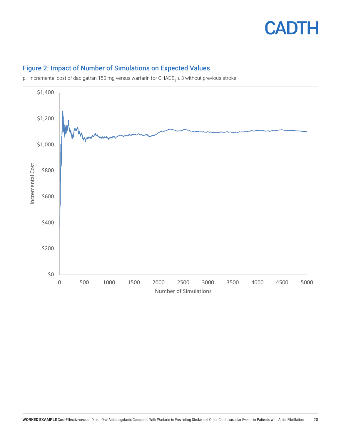



### Figure 2: Impact of Number of Simulations on Expected Values

p. Incremental cost of dabigatran 150 mg versus warfarin for CHADS<sub>2</sub> ≥ 3 without previous stroke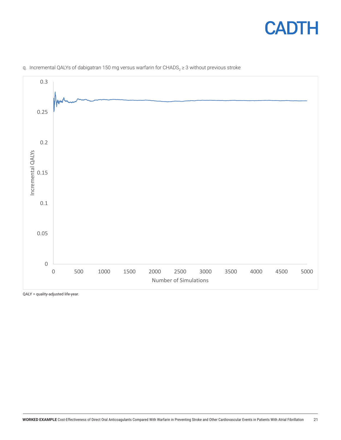



q. Incremental QALYs of dabigatran 150 mg versus warfarin for CHADS $_{2}$   $\geq$  3 without previous stroke

QALY = quality-adjusted life-year.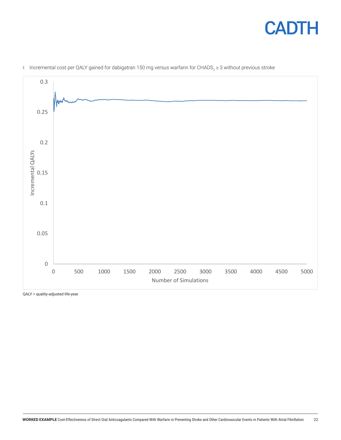



r. Incremental cost per QALY gained for dabigatran 150 mg versus warfarin for CHADS $_2$  ≥ 3 without previous stroke

QALY = quality-adjusted life-year.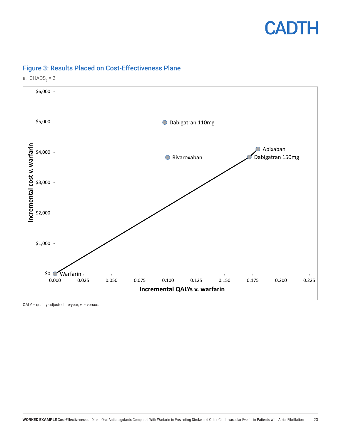



#### Figure 3: Results Placed on Cost-Effectiveness Plane

a.  $CHADS<sub>2</sub> = 2$ 

QALY = quality-adjusted life-year; v. = versus.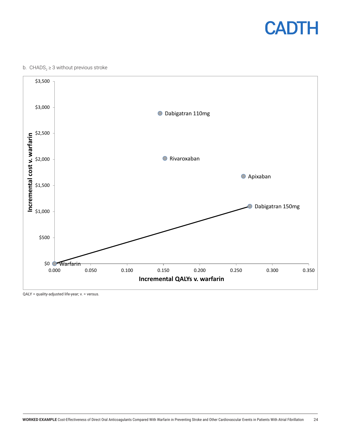

#### b.  $\text{CHADS}_{2} \geq 3$  without previous stroke



QALY = quality-adjusted life-year; v. = versus.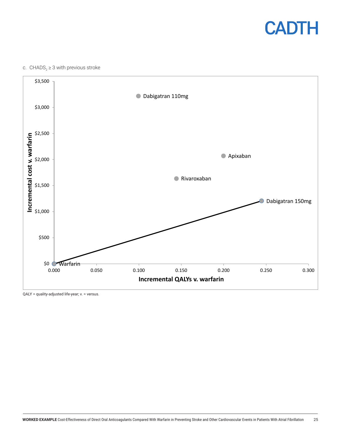

#### c.  $\text{CHADS}_{2} \geq 3$  with previous stroke



QALY = quality-adjusted life-year; v. = versus.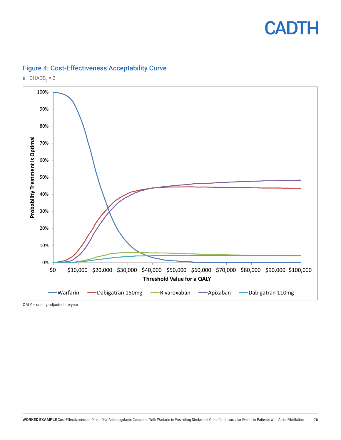



#### Figure 4: Cost-Effectiveness Acceptability Curve

a.  $CHADS<sub>2</sub> = 2$ 

QALY = quality-adjusted life-year.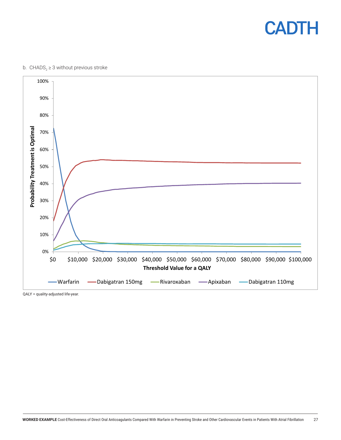

#### b.  $\text{CHADS}_{2} \geq 3$  without previous stroke



QALY = quality-adjusted life-year.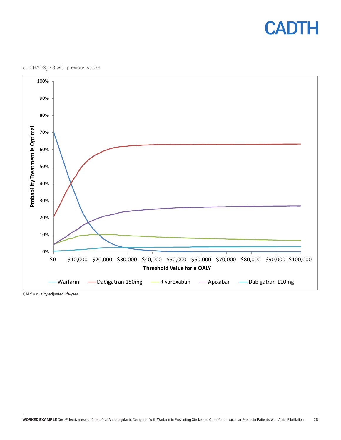

c.  $\text{CHADS}_{2} \geq 3$  with previous stroke



QALY = quality-adjusted life-year.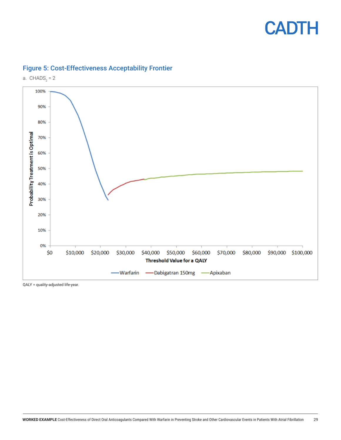



#### Figure 5: Cost-Effectiveness Acceptability Frontier

QALY = quality-adjusted life-year.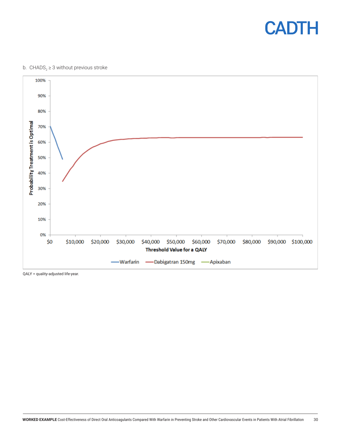

#### b.  $\text{CHADS}_{2} \geq 3$  without previous stroke



QALY = quality-adjusted life-year.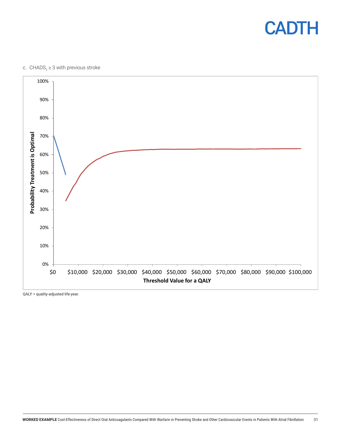

c.  $\text{CHADS}_{2} \geq 3$  with previous stroke



QALY = quality-adjusted life-year.